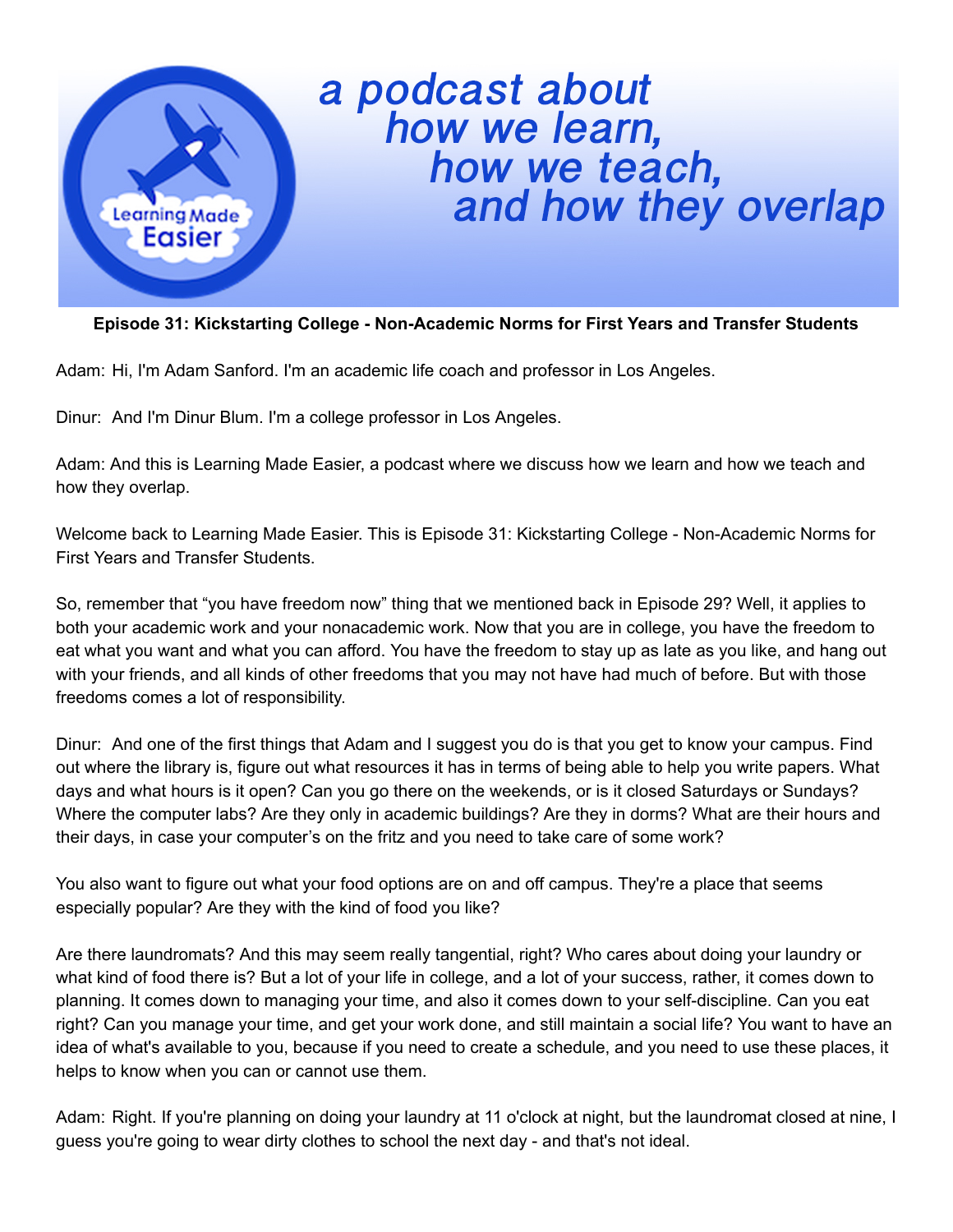

## a podcast about<br>how we learn,<br>how we teach,<br>and how they overlap

## **Episode 31: Kickstarting College - Non-Academic Norms for First Years and Transfer Students**

Adam: Hi, I'm Adam Sanford. I'm an academic life coach and professor in Los Angeles.

Dinur: And I'm Dinur Blum. I'm a college professor in Los Angeles.

Adam: And this is Learning Made Easier, a podcast where we discuss how we learn and how we teach and how they overlap.

Welcome back to Learning Made Easier. This is Episode 31: Kickstarting College - Non-Academic Norms for First Years and Transfer Students.

So, remember that "you have freedom now" thing that we mentioned back in Episode 29? Well, it applies to both your academic work and your nonacademic work. Now that you are in college, you have the freedom to eat what you want and what you can afford. You have the freedom to stay up as late as you like, and hang out with your friends, and all kinds of other freedoms that you may not have had much of before. But with those freedoms comes a lot of responsibility.

Dinur: And one of the first things that Adam and I suggest you do is that you get to know your campus. Find out where the library is, figure out what resources it has in terms of being able to help you write papers. What days and what hours is it open? Can you go there on the weekends, or is it closed Saturdays or Sundays? Where the computer labs? Are they only in academic buildings? Are they in dorms? What are their hours and their days, in case your computer's on the fritz and you need to take care of some work?

You also want to figure out what your food options are on and off campus. They're a place that seems especially popular? Are they with the kind of food you like?

Are there laundromats? And this may seem really tangential, right? Who cares about doing your laundry or what kind of food there is? But a lot of your life in college, and a lot of your success, rather, it comes down to planning. It comes down to managing your time, and also it comes down to your self-discipline. Can you eat right? Can you manage your time, and get your work done, and still maintain a social life? You want to have an idea of what's available to you, because if you need to create a schedule, and you need to use these places, it helps to know when you can or cannot use them.

Adam: Right. If you're planning on doing your laundry at 11 o'clock at night, but the laundromat closed at nine, I guess you're going to wear dirty clothes to school the next day - and that's not ideal.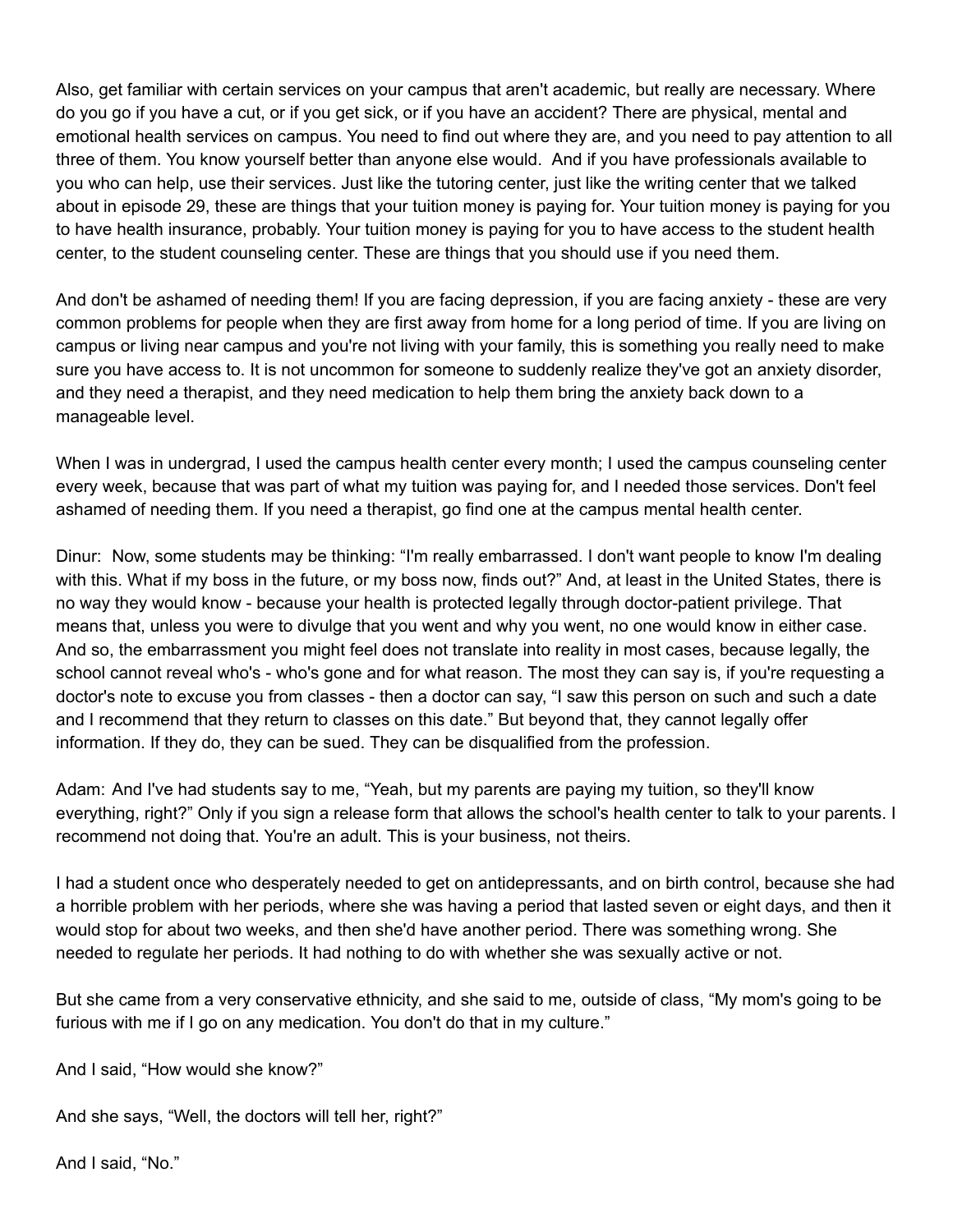Also, get familiar with certain services on your campus that aren't academic, but really are necessary. Where do you go if you have a cut, or if you get sick, or if you have an accident? There are physical, mental and emotional health services on campus. You need to find out where they are, and you need to pay attention to all three of them. You know yourself better than anyone else would. And if you have professionals available to you who can help, use their services. Just like the tutoring center, just like the writing center that we talked about in episode 29, these are things that your tuition money is paying for. Your tuition money is paying for you to have health insurance, probably. Your tuition money is paying for you to have access to the student health center, to the student counseling center. These are things that you should use if you need them.

And don't be ashamed of needing them! If you are facing depression, if you are facing anxiety - these are very common problems for people when they are first away from home for a long period of time. If you are living on campus or living near campus and you're not living with your family, this is something you really need to make sure you have access to. It is not uncommon for someone to suddenly realize they've got an anxiety disorder, and they need a therapist, and they need medication to help them bring the anxiety back down to a manageable level.

When I was in undergrad, I used the campus health center every month; I used the campus counseling center every week, because that was part of what my tuition was paying for, and I needed those services. Don't feel ashamed of needing them. If you need a therapist, go find one at the campus mental health center.

Dinur: Now, some students may be thinking: "I'm really embarrassed. I don't want people to know I'm dealing with this. What if my boss in the future, or my boss now, finds out?" And, at least in the United States, there is no way they would know - because your health is protected legally through doctor-patient privilege. That means that, unless you were to divulge that you went and why you went, no one would know in either case. And so, the embarrassment you might feel does not translate into reality in most cases, because legally, the school cannot reveal who's - who's gone and for what reason. The most they can say is, if you're requesting a doctor's note to excuse you from classes - then a doctor can say, "I saw this person on such and such a date and I recommend that they return to classes on this date." But beyond that, they cannot legally offer information. If they do, they can be sued. They can be disqualified from the profession.

Adam: And I've had students say to me, "Yeah, but my parents are paying my tuition, so they'll know everything, right?" Only if you sign a release form that allows the school's health center to talk to your parents. I recommend not doing that. You're an adult. This is your business, not theirs.

I had a student once who desperately needed to get on antidepressants, and on birth control, because she had a horrible problem with her periods, where she was having a period that lasted seven or eight days, and then it would stop for about two weeks, and then she'd have another period. There was something wrong. She needed to regulate her periods. It had nothing to do with whether she was sexually active or not.

But she came from a very conservative ethnicity, and she said to me, outside of class, "My mom's going to be furious with me if I go on any medication. You don't do that in my culture."

And I said, "How would she know?"

And she says, "Well, the doctors will tell her, right?"

And I said, "No."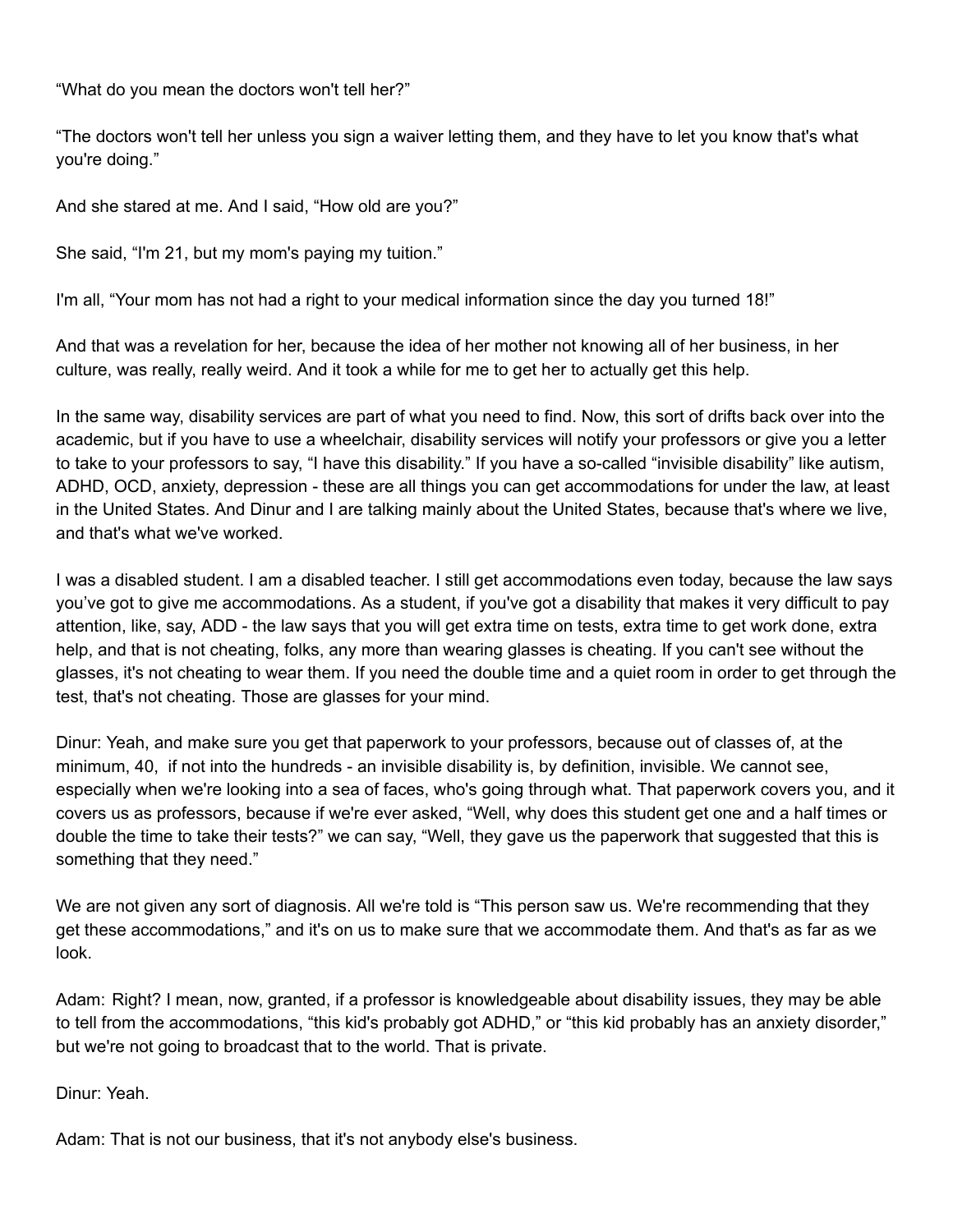"What do you mean the doctors won't tell her?"

"The doctors won't tell her unless you sign a waiver letting them, and they have to let you know that's what you're doing."

And she stared at me. And I said, "How old are you?"

She said, "I'm 21, but my mom's paying my tuition."

I'm all, "Your mom has not had a right to your medical information since the day you turned 18!"

And that was a revelation for her, because the idea of her mother not knowing all of her business, in her culture, was really, really weird. And it took a while for me to get her to actually get this help.

In the same way, disability services are part of what you need to find. Now, this sort of drifts back over into the academic, but if you have to use a wheelchair, disability services will notify your professors or give you a letter to take to your professors to say, "I have this disability." If you have a so-called "invisible disability" like autism, ADHD, OCD, anxiety, depression - these are all things you can get accommodations for under the law, at least in the United States. And Dinur and I are talking mainly about the United States, because that's where we live, and that's what we've worked.

I was a disabled student. I am a disabled teacher. I still get accommodations even today, because the law says you've got to give me accommodations. As a student, if you've got a disability that makes it very difficult to pay attention, like, say, ADD - the law says that you will get extra time on tests, extra time to get work done, extra help, and that is not cheating, folks, any more than wearing glasses is cheating. If you can't see without the glasses, it's not cheating to wear them. If you need the double time and a quiet room in order to get through the test, that's not cheating. Those are glasses for your mind.

Dinur: Yeah, and make sure you get that paperwork to your professors, because out of classes of, at the minimum, 40, if not into the hundreds - an invisible disability is, by definition, invisible. We cannot see, especially when we're looking into a sea of faces, who's going through what. That paperwork covers you, and it covers us as professors, because if we're ever asked, "Well, why does this student get one and a half times or double the time to take their tests?" we can say, "Well, they gave us the paperwork that suggested that this is something that they need."

We are not given any sort of diagnosis. All we're told is "This person saw us. We're recommending that they get these accommodations," and it's on us to make sure that we accommodate them. And that's as far as we look.

Adam: Right? I mean, now, granted, if a professor is knowledgeable about disability issues, they may be able to tell from the accommodations, "this kid's probably got ADHD," or "this kid probably has an anxiety disorder," but we're not going to broadcast that to the world. That is private.

Dinur: Yeah.

Adam: That is not our business, that it's not anybody else's business.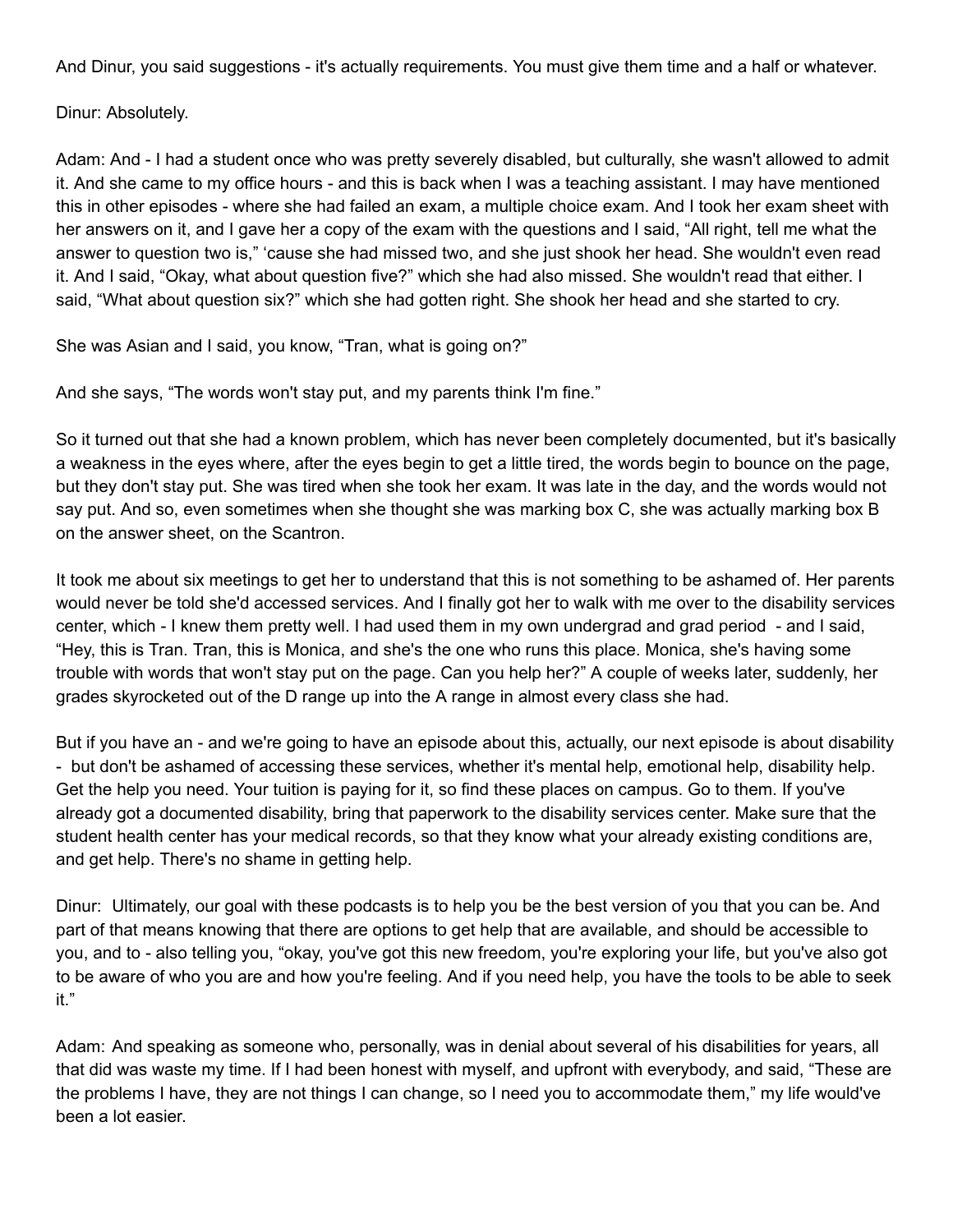And Dinur, you said suggestions - it's actually requirements. You must give them time and a half or whatever.

Dinur: Absolutely.

Adam: And - I had a student once who was pretty severely disabled, but culturally, she wasn't allowed to admit it. And she came to my office hours - and this is back when I was a teaching assistant. I may have mentioned this in other episodes - where she had failed an exam, a multiple choice exam. And I took her exam sheet with her answers on it, and I gave her a copy of the exam with the questions and I said, "All right, tell me what the answer to question two is," 'cause she had missed two, and she just shook her head. She wouldn't even read it. And I said, "Okay, what about question five?" which she had also missed. She wouldn't read that either. I said, "What about question six?" which she had gotten right. She shook her head and she started to cry.

She was Asian and I said, you know, "Tran, what is going on?"

And she says, "The words won't stay put, and my parents think I'm fine."

So it turned out that she had a known problem, which has never been completely documented, but it's basically a weakness in the eyes where, after the eyes begin to get a little tired, the words begin to bounce on the page, but they don't stay put. She was tired when she took her exam. It was late in the day, and the words would not say put. And so, even sometimes when she thought she was marking box C, she was actually marking box B on the answer sheet, on the Scantron.

It took me about six meetings to get her to understand that this is not something to be ashamed of. Her parents would never be told she'd accessed services. And I finally got her to walk with me over to the disability services center, which - I knew them pretty well. I had used them in my own undergrad and grad period - and I said, "Hey, this is Tran. Tran, this is Monica, and she's the one who runs this place. Monica, she's having some trouble with words that won't stay put on the page. Can you help her?" A couple of weeks later, suddenly, her grades skyrocketed out of the D range up into the A range in almost every class she had.

But if you have an - and we're going to have an episode about this, actually, our next episode is about disability - but don't be ashamed of accessing these services, whether it's mental help, emotional help, disability help. Get the help you need. Your tuition is paying for it, so find these places on campus. Go to them. If you've already got a documented disability, bring that paperwork to the disability services center. Make sure that the student health center has your medical records, so that they know what your already existing conditions are, and get help. There's no shame in getting help.

Dinur: Ultimately, our goal with these podcasts is to help you be the best version of you that you can be. And part of that means knowing that there are options to get help that are available, and should be accessible to you, and to - also telling you, "okay, you've got this new freedom, you're exploring your life, but you've also got to be aware of who you are and how you're feeling. And if you need help, you have the tools to be able to seek it."

Adam: And speaking as someone who, personally, was in denial about several of his disabilities for years, all that did was waste my time. If I had been honest with myself, and upfront with everybody, and said, "These are the problems I have, they are not things I can change, so I need you to accommodate them," my life would've been a lot easier.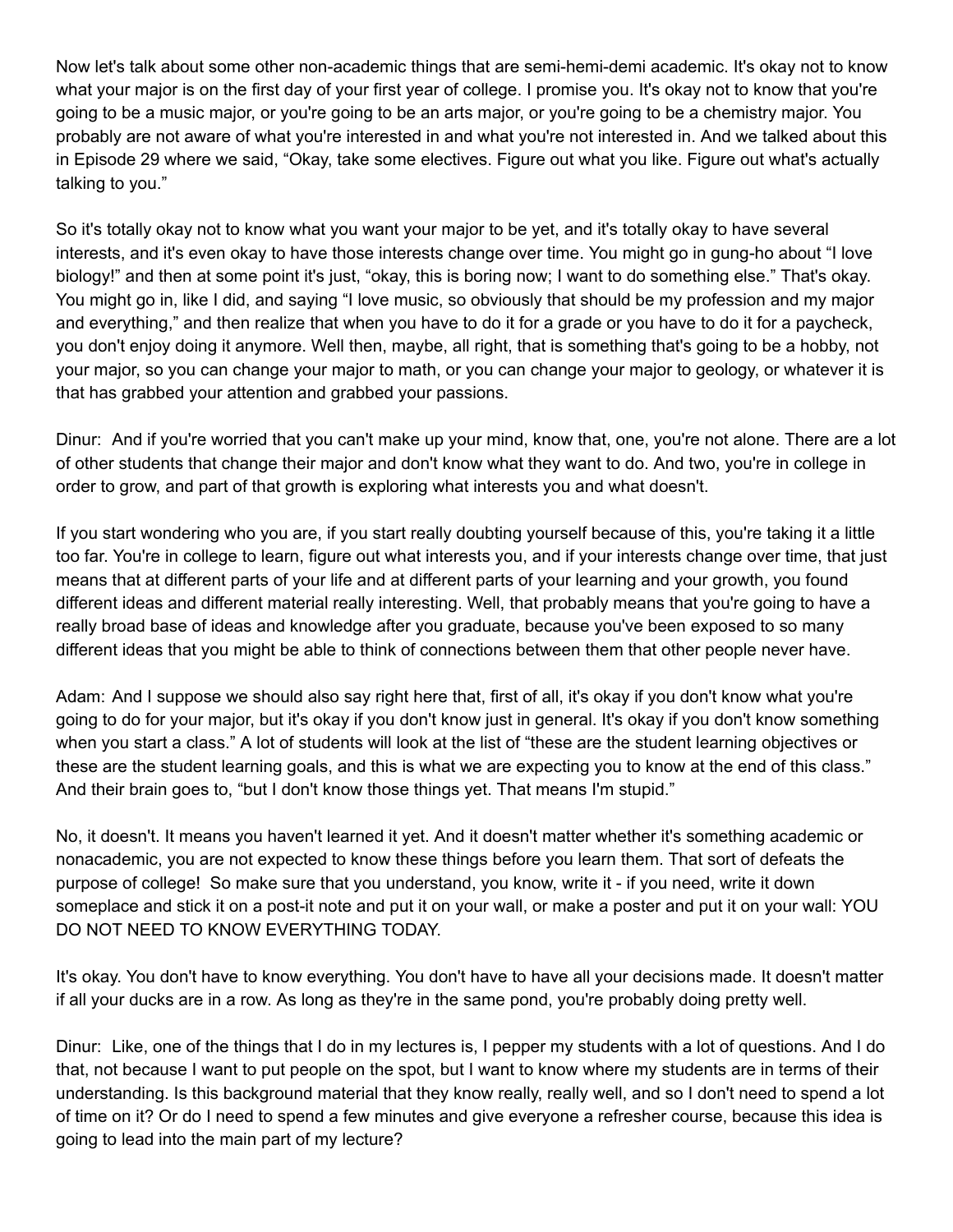Now let's talk about some other non-academic things that are semi-hemi-demi academic. It's okay not to know what your major is on the first day of your first year of college. I promise you. It's okay not to know that you're going to be a music major, or you're going to be an arts major, or you're going to be a chemistry major. You probably are not aware of what you're interested in and what you're not interested in. And we talked about this in Episode 29 where we said, "Okay, take some electives. Figure out what you like. Figure out what's actually talking to you."

So it's totally okay not to know what you want your major to be yet, and it's totally okay to have several interests, and it's even okay to have those interests change over time. You might go in gung-ho about "I love biology!" and then at some point it's just, "okay, this is boring now; I want to do something else." That's okay. You might go in, like I did, and saying "I love music, so obviously that should be my profession and my major and everything," and then realize that when you have to do it for a grade or you have to do it for a paycheck, you don't enjoy doing it anymore. Well then, maybe, all right, that is something that's going to be a hobby, not your major, so you can change your major to math, or you can change your major to geology, or whatever it is that has grabbed your attention and grabbed your passions.

Dinur: And if you're worried that you can't make up your mind, know that, one, you're not alone. There are a lot of other students that change their major and don't know what they want to do. And two, you're in college in order to grow, and part of that growth is exploring what interests you and what doesn't.

If you start wondering who you are, if you start really doubting yourself because of this, you're taking it a little too far. You're in college to learn, figure out what interests you, and if your interests change over time, that just means that at different parts of your life and at different parts of your learning and your growth, you found different ideas and different material really interesting. Well, that probably means that you're going to have a really broad base of ideas and knowledge after you graduate, because you've been exposed to so many different ideas that you might be able to think of connections between them that other people never have.

Adam: And I suppose we should also say right here that, first of all, it's okay if you don't know what you're going to do for your major, but it's okay if you don't know just in general. It's okay if you don't know something when you start a class." A lot of students will look at the list of "these are the student learning objectives or these are the student learning goals, and this is what we are expecting you to know at the end of this class." And their brain goes to, "but I don't know those things yet. That means I'm stupid."

No, it doesn't. It means you haven't learned it yet. And it doesn't matter whether it's something academic or nonacademic, you are not expected to know these things before you learn them. That sort of defeats the purpose of college! So make sure that you understand, you know, write it - if you need, write it down someplace and stick it on a post-it note and put it on your wall, or make a poster and put it on your wall: YOU DO NOT NEED TO KNOW EVERYTHING TODAY.

It's okay. You don't have to know everything. You don't have to have all your decisions made. It doesn't matter if all your ducks are in a row. As long as they're in the same pond, you're probably doing pretty well.

Dinur: Like, one of the things that I do in my lectures is, I pepper my students with a lot of questions. And I do that, not because I want to put people on the spot, but I want to know where my students are in terms of their understanding. Is this background material that they know really, really well, and so I don't need to spend a lot of time on it? Or do I need to spend a few minutes and give everyone a refresher course, because this idea is going to lead into the main part of my lecture?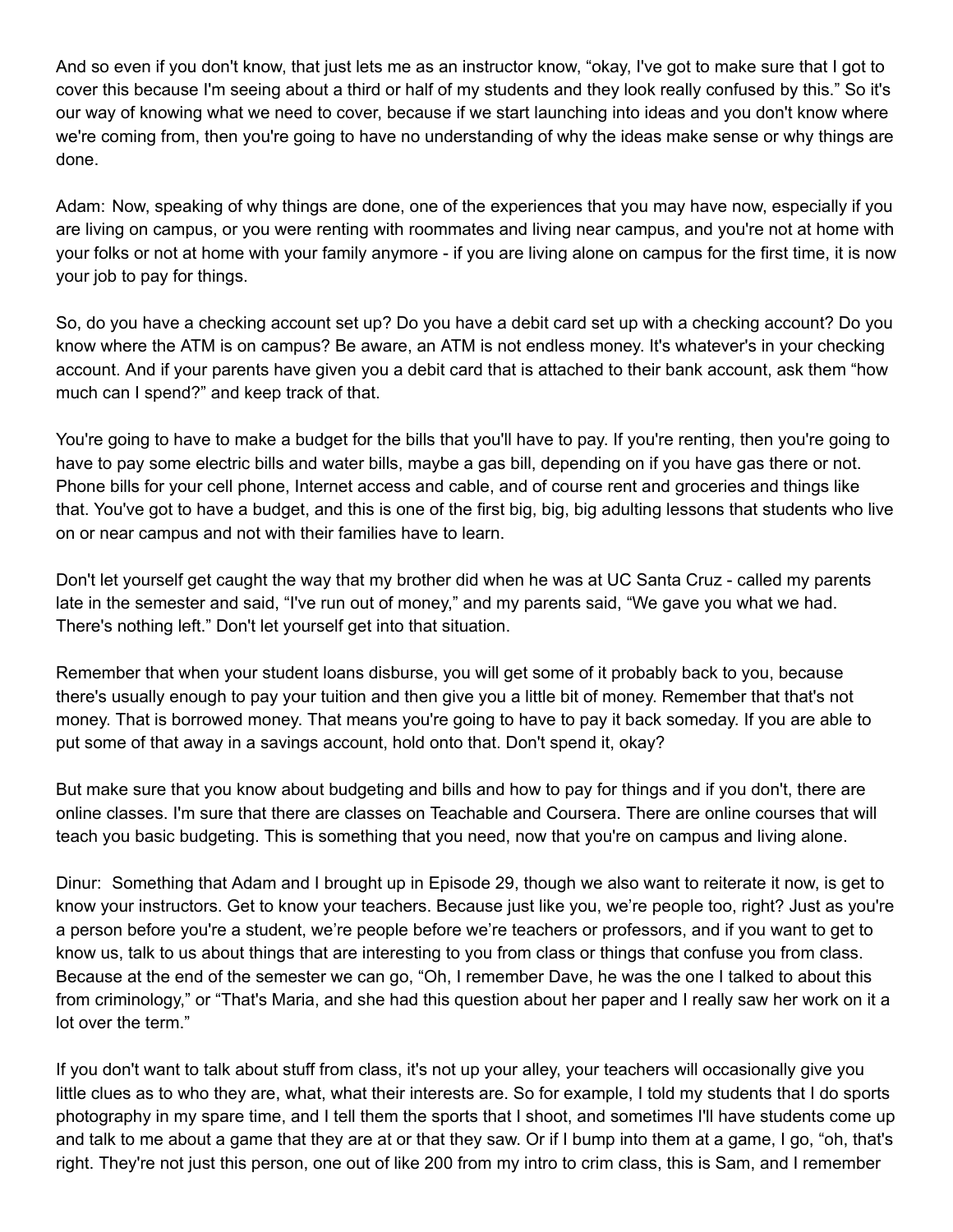And so even if you don't know, that just lets me as an instructor know, "okay, I've got to make sure that I got to cover this because I'm seeing about a third or half of my students and they look really confused by this." So it's our way of knowing what we need to cover, because if we start launching into ideas and you don't know where we're coming from, then you're going to have no understanding of why the ideas make sense or why things are done.

Adam: Now, speaking of why things are done, one of the experiences that you may have now, especially if you are living on campus, or you were renting with roommates and living near campus, and you're not at home with your folks or not at home with your family anymore - if you are living alone on campus for the first time, it is now your job to pay for things.

So, do you have a checking account set up? Do you have a debit card set up with a checking account? Do you know where the ATM is on campus? Be aware, an ATM is not endless money. It's whatever's in your checking account. And if your parents have given you a debit card that is attached to their bank account, ask them "how much can I spend?" and keep track of that.

You're going to have to make a budget for the bills that you'll have to pay. If you're renting, then you're going to have to pay some electric bills and water bills, maybe a gas bill, depending on if you have gas there or not. Phone bills for your cell phone, Internet access and cable, and of course rent and groceries and things like that. You've got to have a budget, and this is one of the first big, big, big adulting lessons that students who live on or near campus and not with their families have to learn.

Don't let yourself get caught the way that my brother did when he was at UC Santa Cruz - called my parents late in the semester and said, "I've run out of money," and my parents said, "We gave you what we had. There's nothing left." Don't let yourself get into that situation.

Remember that when your student loans disburse, you will get some of it probably back to you, because there's usually enough to pay your tuition and then give you a little bit of money. Remember that that's not money. That is borrowed money. That means you're going to have to pay it back someday. If you are able to put some of that away in a savings account, hold onto that. Don't spend it, okay?

But make sure that you know about budgeting and bills and how to pay for things and if you don't, there are online classes. I'm sure that there are classes on Teachable and Coursera. There are online courses that will teach you basic budgeting. This is something that you need, now that you're on campus and living alone.

Dinur: Something that Adam and I brought up in Episode 29, though we also want to reiterate it now, is get to know your instructors. Get to know your teachers. Because just like you, we're people too, right? Just as you're a person before you're a student, we're people before we're teachers or professors, and if you want to get to know us, talk to us about things that are interesting to you from class or things that confuse you from class. Because at the end of the semester we can go, "Oh, I remember Dave, he was the one I talked to about this from criminology," or "That's Maria, and she had this question about her paper and I really saw her work on it a lot over the term."

If you don't want to talk about stuff from class, it's not up your alley, your teachers will occasionally give you little clues as to who they are, what, what their interests are. So for example, I told my students that I do sports photography in my spare time, and I tell them the sports that I shoot, and sometimes I'll have students come up and talk to me about a game that they are at or that they saw. Or if I bump into them at a game, I go, "oh, that's right. They're not just this person, one out of like 200 from my intro to crim class, this is Sam, and I remember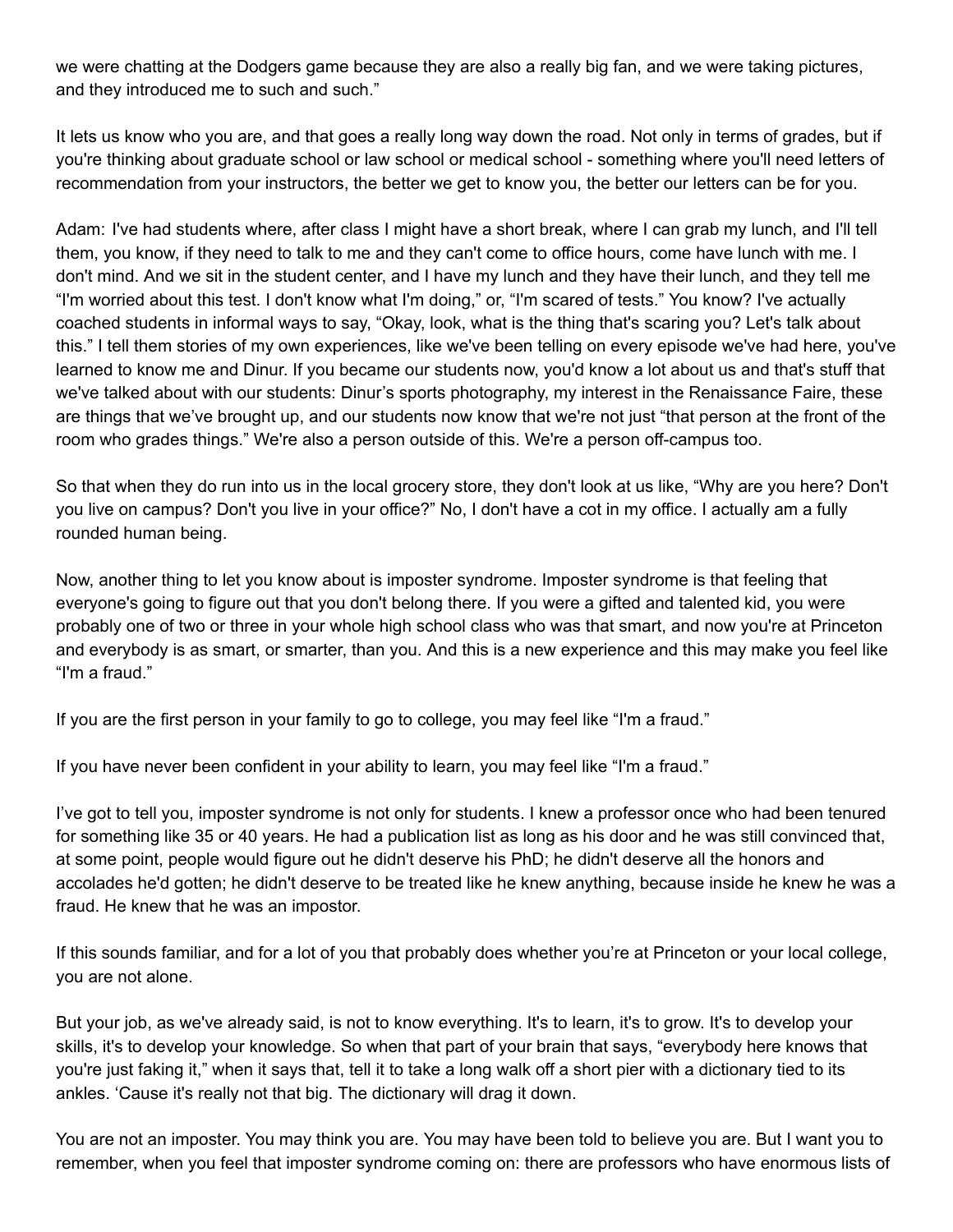we were chatting at the Dodgers game because they are also a really big fan, and we were taking pictures, and they introduced me to such and such."

It lets us know who you are, and that goes a really long way down the road. Not only in terms of grades, but if you're thinking about graduate school or law school or medical school - something where you'll need letters of recommendation from your instructors, the better we get to know you, the better our letters can be for you.

Adam: I've had students where, after class I might have a short break, where I can grab my lunch, and I'll tell them, you know, if they need to talk to me and they can't come to office hours, come have lunch with me. I don't mind. And we sit in the student center, and I have my lunch and they have their lunch, and they tell me "I'm worried about this test. I don't know what I'm doing," or, "I'm scared of tests." You know? I've actually coached students in informal ways to say, "Okay, look, what is the thing that's scaring you? Let's talk about this." I tell them stories of my own experiences, like we've been telling on every episode we've had here, you've learned to know me and Dinur. If you became our students now, you'd know a lot about us and that's stuff that we've talked about with our students: Dinur's sports photography, my interest in the Renaissance Faire, these are things that we've brought up, and our students now know that we're not just "that person at the front of the room who grades things." We're also a person outside of this. We're a person off-campus too.

So that when they do run into us in the local grocery store, they don't look at us like, "Why are you here? Don't you live on campus? Don't you live in your office?" No, I don't have a cot in my office. I actually am a fully rounded human being.

Now, another thing to let you know about is imposter syndrome. Imposter syndrome is that feeling that everyone's going to figure out that you don't belong there. If you were a gifted and talented kid, you were probably one of two or three in your whole high school class who was that smart, and now you're at Princeton and everybody is as smart, or smarter, than you. And this is a new experience and this may make you feel like "I'm a fraud."

If you are the first person in your family to go to college, you may feel like "I'm a fraud."

If you have never been confident in your ability to learn, you may feel like "I'm a fraud."

I've got to tell you, imposter syndrome is not only for students. I knew a professor once who had been tenured for something like 35 or 40 years. He had a publication list as long as his door and he was still convinced that, at some point, people would figure out he didn't deserve his PhD; he didn't deserve all the honors and accolades he'd gotten; he didn't deserve to be treated like he knew anything, because inside he knew he was a fraud. He knew that he was an impostor.

If this sounds familiar, and for a lot of you that probably does whether you're at Princeton or your local college, you are not alone.

But your job, as we've already said, is not to know everything. It's to learn, it's to grow. It's to develop your skills, it's to develop your knowledge. So when that part of your brain that says, "everybody here knows that you're just faking it," when it says that, tell it to take a long walk off a short pier with a dictionary tied to its ankles. 'Cause it's really not that big. The dictionary will drag it down.

You are not an imposter. You may think you are. You may have been told to believe you are. But I want you to remember, when you feel that imposter syndrome coming on: there are professors who have enormous lists of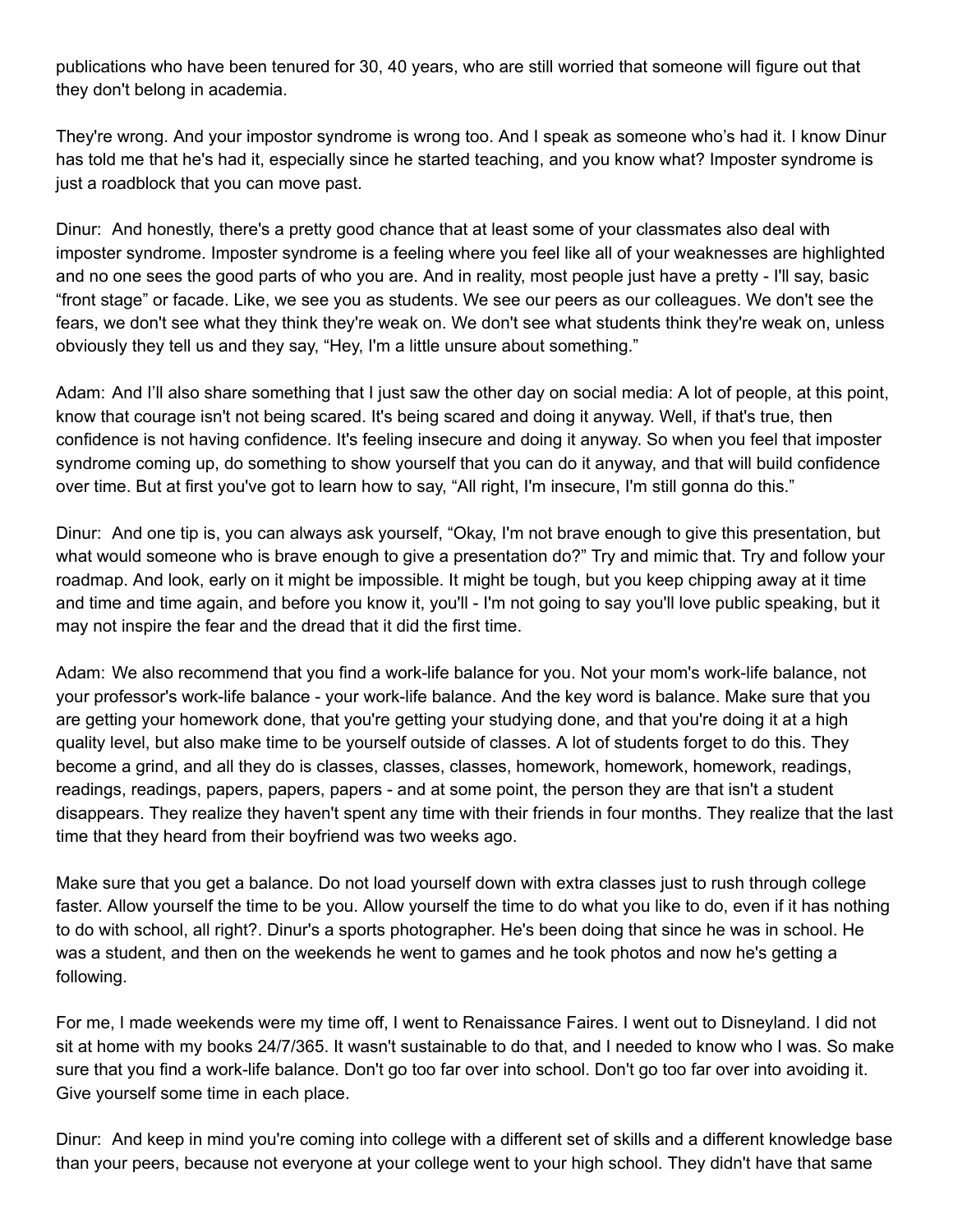publications who have been tenured for 30, 40 years, who are still worried that someone will figure out that they don't belong in academia.

They're wrong. And your impostor syndrome is wrong too. And I speak as someone who's had it. I know Dinur has told me that he's had it, especially since he started teaching, and you know what? Imposter syndrome is just a roadblock that you can move past.

Dinur: And honestly, there's a pretty good chance that at least some of your classmates also deal with imposter syndrome. Imposter syndrome is a feeling where you feel like all of your weaknesses are highlighted and no one sees the good parts of who you are. And in reality, most people just have a pretty - I'll say, basic "front stage" or facade. Like, we see you as students. We see our peers as our colleagues. We don't see the fears, we don't see what they think they're weak on. We don't see what students think they're weak on, unless obviously they tell us and they say, "Hey, I'm a little unsure about something."

Adam: And I'll also share something that I just saw the other day on social media: A lot of people, at this point, know that courage isn't not being scared. It's being scared and doing it anyway. Well, if that's true, then confidence is not having confidence. It's feeling insecure and doing it anyway. So when you feel that imposter syndrome coming up, do something to show yourself that you can do it anyway, and that will build confidence over time. But at first you've got to learn how to say, "All right, I'm insecure, I'm still gonna do this."

Dinur: And one tip is, you can always ask yourself, "Okay, I'm not brave enough to give this presentation, but what would someone who is brave enough to give a presentation do?" Try and mimic that. Try and follow your roadmap. And look, early on it might be impossible. It might be tough, but you keep chipping away at it time and time and time again, and before you know it, you'll - I'm not going to say you'll love public speaking, but it may not inspire the fear and the dread that it did the first time.

Adam: We also recommend that you find a work-life balance for you. Not your mom's work-life balance, not your professor's work-life balance - your work-life balance. And the key word is balance. Make sure that you are getting your homework done, that you're getting your studying done, and that you're doing it at a high quality level, but also make time to be yourself outside of classes. A lot of students forget to do this. They become a grind, and all they do is classes, classes, classes, homework, homework, homework, readings, readings, readings, papers, papers, papers - and at some point, the person they are that isn't a student disappears. They realize they haven't spent any time with their friends in four months. They realize that the last time that they heard from their boyfriend was two weeks ago.

Make sure that you get a balance. Do not load yourself down with extra classes just to rush through college faster. Allow yourself the time to be you. Allow yourself the time to do what you like to do, even if it has nothing to do with school, all right?. Dinur's a sports photographer. He's been doing that since he was in school. He was a student, and then on the weekends he went to games and he took photos and now he's getting a following.

For me, I made weekends were my time off, I went to Renaissance Faires. I went out to Disneyland. I did not sit at home with my books 24/7/365. It wasn't sustainable to do that, and I needed to know who I was. So make sure that you find a work-life balance. Don't go too far over into school. Don't go too far over into avoiding it. Give yourself some time in each place.

Dinur: And keep in mind you're coming into college with a different set of skills and a different knowledge base than your peers, because not everyone at your college went to your high school. They didn't have that same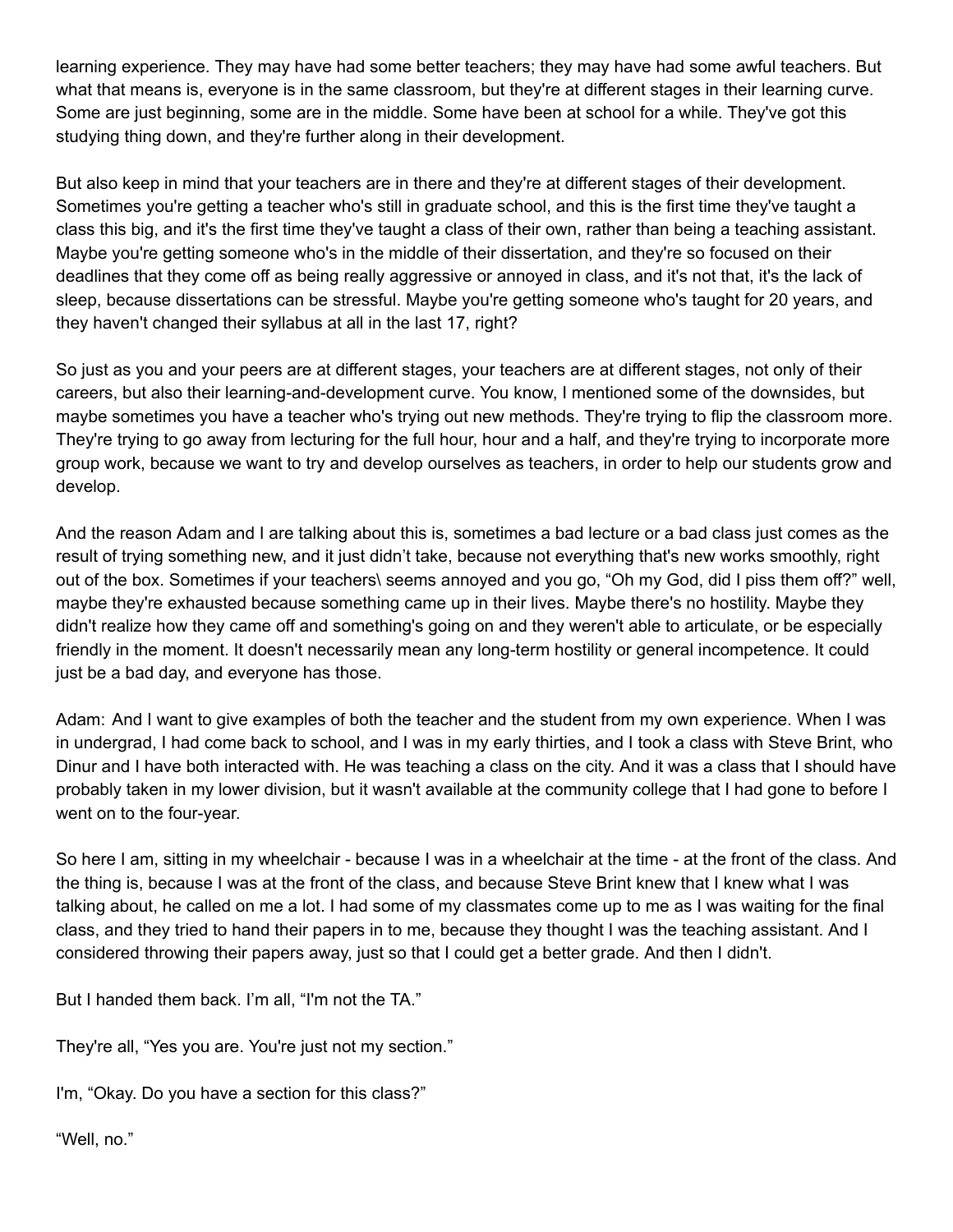learning experience. They may have had some better teachers; they may have had some awful teachers. But what that means is, everyone is in the same classroom, but they're at different stages in their learning curve. Some are just beginning, some are in the middle. Some have been at school for a while. They've got this studying thing down, and they're further along in their development.

But also keep in mind that your teachers are in there and they're at different stages of their development. Sometimes you're getting a teacher who's still in graduate school, and this is the first time they've taught a class this big, and it's the first time they've taught a class of their own, rather than being a teaching assistant. Maybe you're getting someone who's in the middle of their dissertation, and they're so focused on their deadlines that they come off as being really aggressive or annoyed in class, and it's not that, it's the lack of sleep, because dissertations can be stressful. Maybe you're getting someone who's taught for 20 years, and they haven't changed their syllabus at all in the last 17, right?

So just as you and your peers are at different stages, your teachers are at different stages, not only of their careers, but also their learning-and-development curve. You know, I mentioned some of the downsides, but maybe sometimes you have a teacher who's trying out new methods. They're trying to flip the classroom more. They're trying to go away from lecturing for the full hour, hour and a half, and they're trying to incorporate more group work, because we want to try and develop ourselves as teachers, in order to help our students grow and develop.

And the reason Adam and I are talking about this is, sometimes a bad lecture or a bad class just comes as the result of trying something new, and it just didn't take, because not everything that's new works smoothly, right out of the box. Sometimes if your teachers\ seems annoyed and you go, "Oh my God, did I piss them off?" well, maybe they're exhausted because something came up in their lives. Maybe there's no hostility. Maybe they didn't realize how they came off and something's going on and they weren't able to articulate, or be especially friendly in the moment. It doesn't necessarily mean any long-term hostility or general incompetence. It could just be a bad day, and everyone has those.

Adam: And I want to give examples of both the teacher and the student from my own experience. When I was in undergrad, I had come back to school, and I was in my early thirties, and I took a class with Steve Brint, who Dinur and I have both interacted with. He was teaching a class on the city. And it was a class that I should have probably taken in my lower division, but it wasn't available at the community college that I had gone to before I went on to the four-year.

So here I am, sitting in my wheelchair - because I was in a wheelchair at the time - at the front of the class. And the thing is, because I was at the front of the class, and because Steve Brint knew that I knew what I was talking about, he called on me a lot. I had some of my classmates come up to me as I was waiting for the final class, and they tried to hand their papers in to me, because they thought I was the teaching assistant. And I considered throwing their papers away, just so that I could get a better grade. And then I didn't.

But I handed them back. I'm all, "I'm not the TA."

They're all, "Yes you are. You're just not my section."

I'm, "Okay. Do you have a section for this class?"

"Well, no."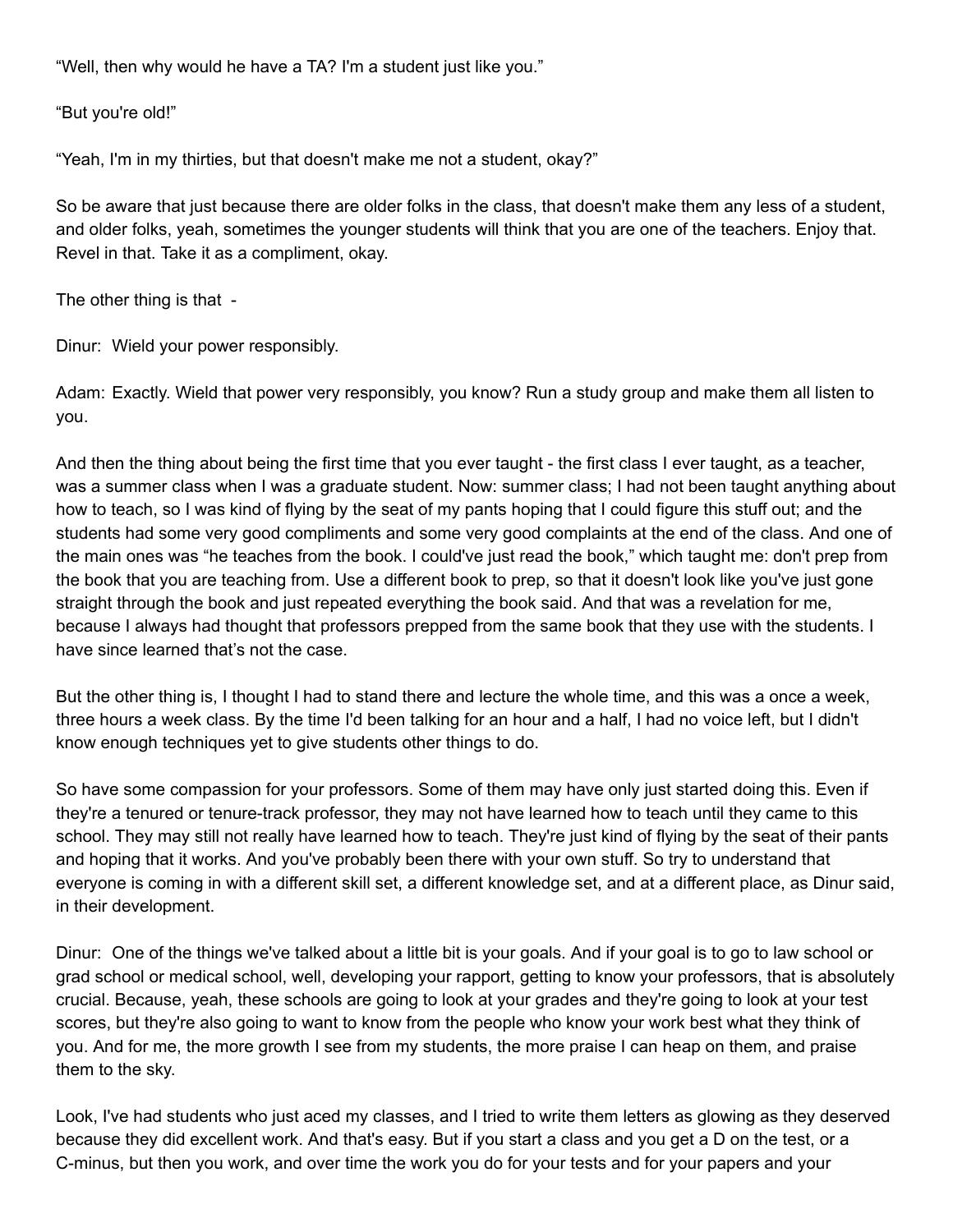"Well, then why would he have a TA? I'm a student just like you."

"But you're old!"

"Yeah, I'm in my thirties, but that doesn't make me not a student, okay?"

So be aware that just because there are older folks in the class, that doesn't make them any less of a student, and older folks, yeah, sometimes the younger students will think that you are one of the teachers. Enjoy that. Revel in that. Take it as a compliment, okay.

The other thing is that -

Dinur: Wield your power responsibly.

Adam: Exactly. Wield that power very responsibly, you know? Run a study group and make them all listen to you.

And then the thing about being the first time that you ever taught - the first class I ever taught, as a teacher, was a summer class when I was a graduate student. Now: summer class; I had not been taught anything about how to teach, so I was kind of flying by the seat of my pants hoping that I could figure this stuff out; and the students had some very good compliments and some very good complaints at the end of the class. And one of the main ones was "he teaches from the book. I could've just read the book," which taught me: don't prep from the book that you are teaching from. Use a different book to prep, so that it doesn't look like you've just gone straight through the book and just repeated everything the book said. And that was a revelation for me, because I always had thought that professors prepped from the same book that they use with the students. I have since learned that's not the case.

But the other thing is, I thought I had to stand there and lecture the whole time, and this was a once a week, three hours a week class. By the time I'd been talking for an hour and a half, I had no voice left, but I didn't know enough techniques yet to give students other things to do.

So have some compassion for your professors. Some of them may have only just started doing this. Even if they're a tenured or tenure-track professor, they may not have learned how to teach until they came to this school. They may still not really have learned how to teach. They're just kind of flying by the seat of their pants and hoping that it works. And you've probably been there with your own stuff. So try to understand that everyone is coming in with a different skill set, a different knowledge set, and at a different place, as Dinur said, in their development.

Dinur: One of the things we've talked about a little bit is your goals. And if your goal is to go to law school or grad school or medical school, well, developing your rapport, getting to know your professors, that is absolutely crucial. Because, yeah, these schools are going to look at your grades and they're going to look at your test scores, but they're also going to want to know from the people who know your work best what they think of you. And for me, the more growth I see from my students, the more praise I can heap on them, and praise them to the sky.

Look, I've had students who just aced my classes, and I tried to write them letters as glowing as they deserved because they did excellent work. And that's easy. But if you start a class and you get a D on the test, or a C-minus, but then you work, and over time the work you do for your tests and for your papers and your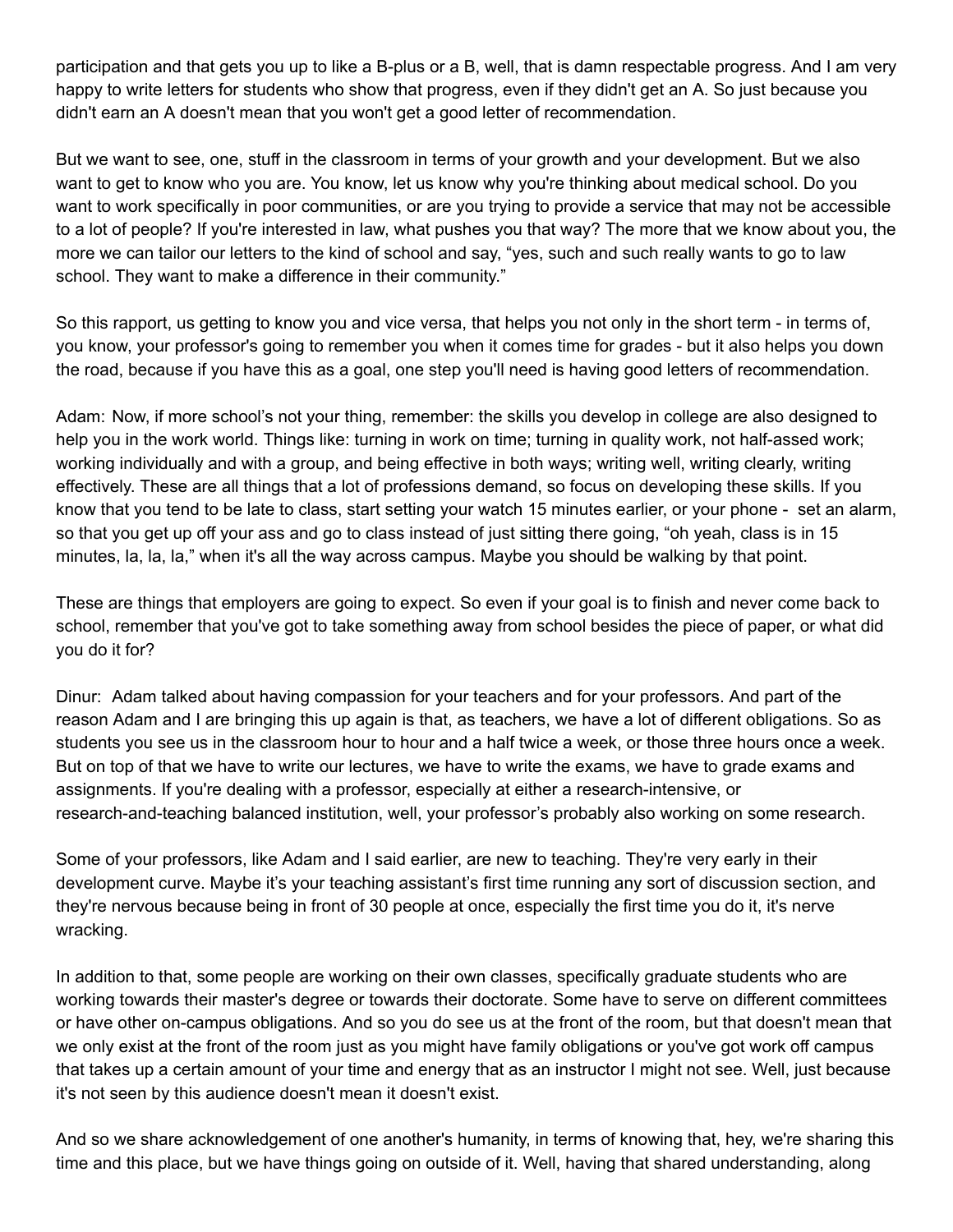participation and that gets you up to like a B-plus or a B, well, that is damn respectable progress. And I am very happy to write letters for students who show that progress, even if they didn't get an A. So just because you didn't earn an A doesn't mean that you won't get a good letter of recommendation.

But we want to see, one, stuff in the classroom in terms of your growth and your development. But we also want to get to know who you are. You know, let us know why you're thinking about medical school. Do you want to work specifically in poor communities, or are you trying to provide a service that may not be accessible to a lot of people? If you're interested in law, what pushes you that way? The more that we know about you, the more we can tailor our letters to the kind of school and say, "yes, such and such really wants to go to law school. They want to make a difference in their community."

So this rapport, us getting to know you and vice versa, that helps you not only in the short term - in terms of, you know, your professor's going to remember you when it comes time for grades - but it also helps you down the road, because if you have this as a goal, one step you'll need is having good letters of recommendation.

Adam: Now, if more school's not your thing, remember: the skills you develop in college are also designed to help you in the work world. Things like: turning in work on time; turning in quality work, not half-assed work; working individually and with a group, and being effective in both ways; writing well, writing clearly, writing effectively. These are all things that a lot of professions demand, so focus on developing these skills. If you know that you tend to be late to class, start setting your watch 15 minutes earlier, or your phone - set an alarm, so that you get up off your ass and go to class instead of just sitting there going, "oh yeah, class is in 15 minutes, la, la, la," when it's all the way across campus. Maybe you should be walking by that point.

These are things that employers are going to expect. So even if your goal is to finish and never come back to school, remember that you've got to take something away from school besides the piece of paper, or what did you do it for?

Dinur: Adam talked about having compassion for your teachers and for your professors. And part of the reason Adam and I are bringing this up again is that, as teachers, we have a lot of different obligations. So as students you see us in the classroom hour to hour and a half twice a week, or those three hours once a week. But on top of that we have to write our lectures, we have to write the exams, we have to grade exams and assignments. If you're dealing with a professor, especially at either a research-intensive, or research-and-teaching balanced institution, well, your professor's probably also working on some research.

Some of your professors, like Adam and I said earlier, are new to teaching. They're very early in their development curve. Maybe it's your teaching assistant's first time running any sort of discussion section, and they're nervous because being in front of 30 people at once, especially the first time you do it, it's nerve wracking.

In addition to that, some people are working on their own classes, specifically graduate students who are working towards their master's degree or towards their doctorate. Some have to serve on different committees or have other on-campus obligations. And so you do see us at the front of the room, but that doesn't mean that we only exist at the front of the room just as you might have family obligations or you've got work off campus that takes up a certain amount of your time and energy that as an instructor I might not see. Well, just because it's not seen by this audience doesn't mean it doesn't exist.

And so we share acknowledgement of one another's humanity, in terms of knowing that, hey, we're sharing this time and this place, but we have things going on outside of it. Well, having that shared understanding, along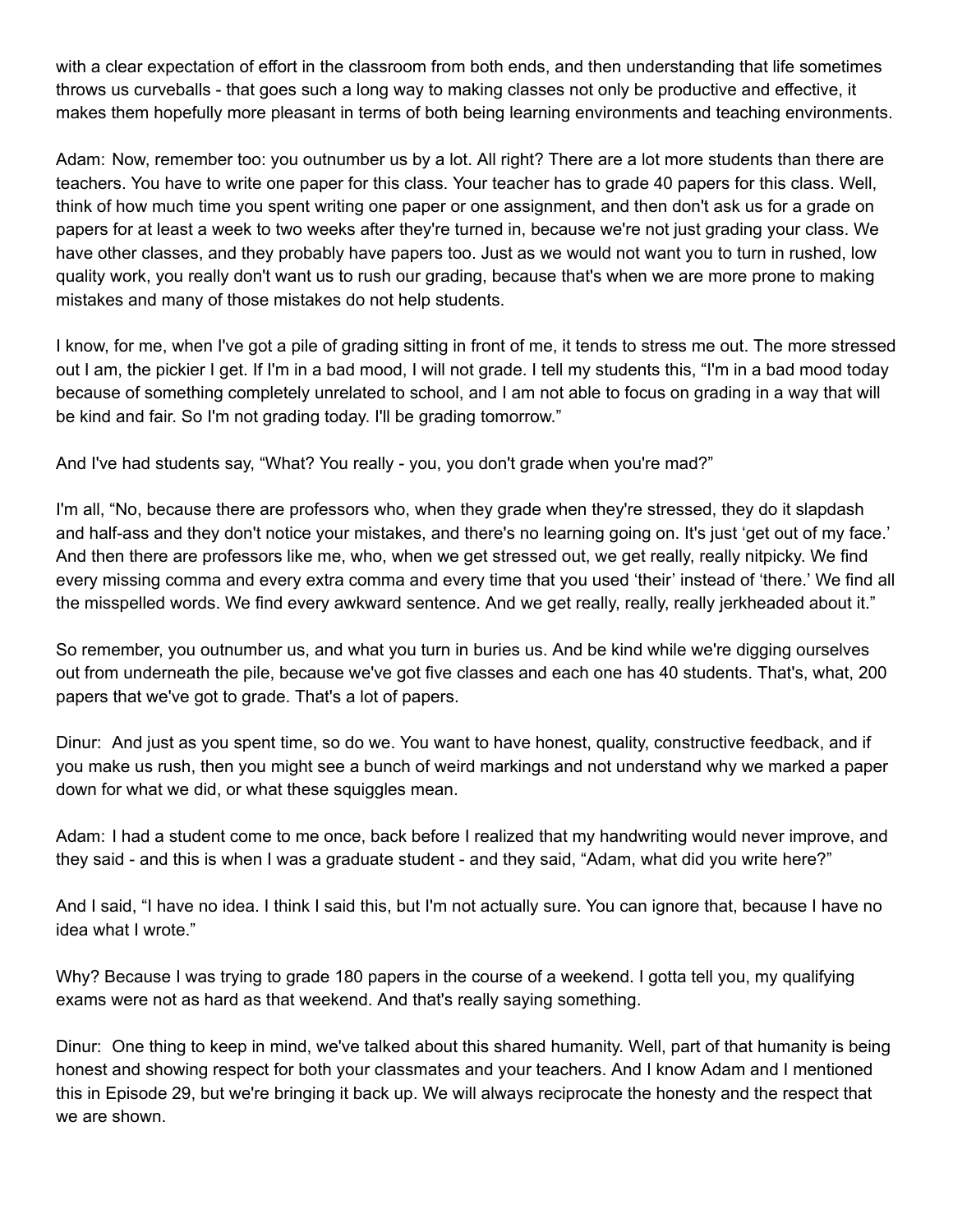with a clear expectation of effort in the classroom from both ends, and then understanding that life sometimes throws us curveballs - that goes such a long way to making classes not only be productive and effective, it makes them hopefully more pleasant in terms of both being learning environments and teaching environments.

Adam: Now, remember too: you outnumber us by a lot. All right? There are a lot more students than there are teachers. You have to write one paper for this class. Your teacher has to grade 40 papers for this class. Well, think of how much time you spent writing one paper or one assignment, and then don't ask us for a grade on papers for at least a week to two weeks after they're turned in, because we're not just grading your class. We have other classes, and they probably have papers too. Just as we would not want you to turn in rushed, low quality work, you really don't want us to rush our grading, because that's when we are more prone to making mistakes and many of those mistakes do not help students.

I know, for me, when I've got a pile of grading sitting in front of me, it tends to stress me out. The more stressed out I am, the pickier I get. If I'm in a bad mood, I will not grade. I tell my students this, "I'm in a bad mood today because of something completely unrelated to school, and I am not able to focus on grading in a way that will be kind and fair. So I'm not grading today. I'll be grading tomorrow."

And I've had students say, "What? You really - you, you don't grade when you're mad?"

I'm all, "No, because there are professors who, when they grade when they're stressed, they do it slapdash and half-ass and they don't notice your mistakes, and there's no learning going on. It's just 'get out of my face.' And then there are professors like me, who, when we get stressed out, we get really, really nitpicky. We find every missing comma and every extra comma and every time that you used 'their' instead of 'there.' We find all the misspelled words. We find every awkward sentence. And we get really, really, really jerkheaded about it."

So remember, you outnumber us, and what you turn in buries us. And be kind while we're digging ourselves out from underneath the pile, because we've got five classes and each one has 40 students. That's, what, 200 papers that we've got to grade. That's a lot of papers.

Dinur: And just as you spent time, so do we. You want to have honest, quality, constructive feedback, and if you make us rush, then you might see a bunch of weird markings and not understand why we marked a paper down for what we did, or what these squiggles mean.

Adam: I had a student come to me once, back before I realized that my handwriting would never improve, and they said - and this is when I was a graduate student - and they said, "Adam, what did you write here?"

And I said, "I have no idea. I think I said this, but I'm not actually sure. You can ignore that, because I have no idea what I wrote."

Why? Because I was trying to grade 180 papers in the course of a weekend. I gotta tell you, my qualifying exams were not as hard as that weekend. And that's really saying something.

Dinur: One thing to keep in mind, we've talked about this shared humanity. Well, part of that humanity is being honest and showing respect for both your classmates and your teachers. And I know Adam and I mentioned this in Episode 29, but we're bringing it back up. We will always reciprocate the honesty and the respect that we are shown.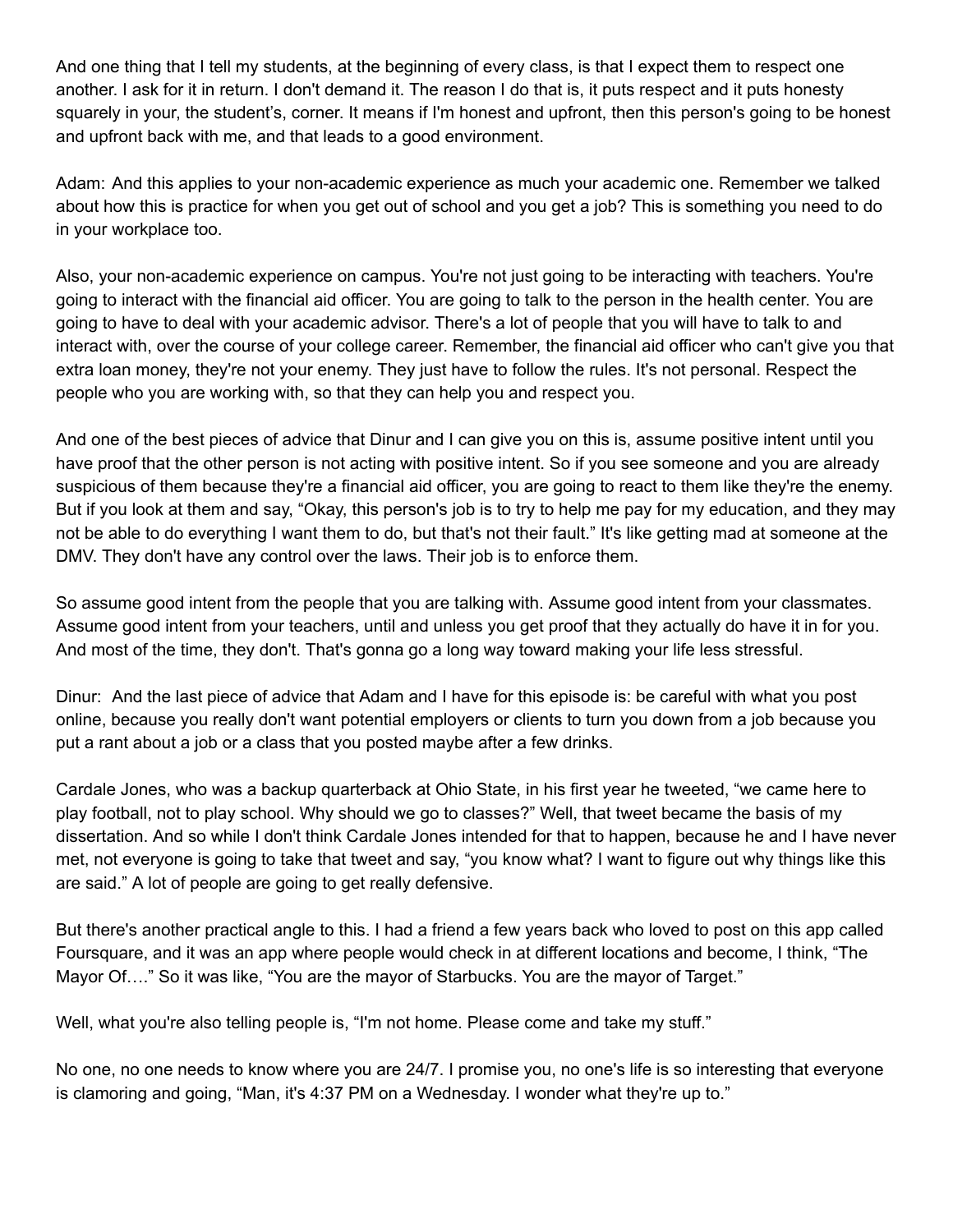And one thing that I tell my students, at the beginning of every class, is that I expect them to respect one another. I ask for it in return. I don't demand it. The reason I do that is, it puts respect and it puts honesty squarely in your, the student's, corner. It means if I'm honest and upfront, then this person's going to be honest and upfront back with me, and that leads to a good environment.

Adam: And this applies to your non-academic experience as much your academic one. Remember we talked about how this is practice for when you get out of school and you get a job? This is something you need to do in your workplace too.

Also, your non-academic experience on campus. You're not just going to be interacting with teachers. You're going to interact with the financial aid officer. You are going to talk to the person in the health center. You are going to have to deal with your academic advisor. There's a lot of people that you will have to talk to and interact with, over the course of your college career. Remember, the financial aid officer who can't give you that extra loan money, they're not your enemy. They just have to follow the rules. It's not personal. Respect the people who you are working with, so that they can help you and respect you.

And one of the best pieces of advice that Dinur and I can give you on this is, assume positive intent until you have proof that the other person is not acting with positive intent. So if you see someone and you are already suspicious of them because they're a financial aid officer, you are going to react to them like they're the enemy. But if you look at them and say, "Okay, this person's job is to try to help me pay for my education, and they may not be able to do everything I want them to do, but that's not their fault." It's like getting mad at someone at the DMV. They don't have any control over the laws. Their job is to enforce them.

So assume good intent from the people that you are talking with. Assume good intent from your classmates. Assume good intent from your teachers, until and unless you get proof that they actually do have it in for you. And most of the time, they don't. That's gonna go a long way toward making your life less stressful.

Dinur: And the last piece of advice that Adam and I have for this episode is: be careful with what you post online, because you really don't want potential employers or clients to turn you down from a job because you put a rant about a job or a class that you posted maybe after a few drinks.

Cardale Jones, who was a backup quarterback at Ohio State, in his first year he tweeted, "we came here to play football, not to play school. Why should we go to classes?" Well, that tweet became the basis of my dissertation. And so while I don't think Cardale Jones intended for that to happen, because he and I have never met, not everyone is going to take that tweet and say, "you know what? I want to figure out why things like this are said." A lot of people are going to get really defensive.

But there's another practical angle to this. I had a friend a few years back who loved to post on this app called Foursquare, and it was an app where people would check in at different locations and become, I think, "The Mayor Of…." So it was like, "You are the mayor of Starbucks. You are the mayor of Target."

Well, what you're also telling people is, "I'm not home. Please come and take my stuff."

No one, no one needs to know where you are 24/7. I promise you, no one's life is so interesting that everyone is clamoring and going, "Man, it's 4:37 PM on a Wednesday. I wonder what they're up to."